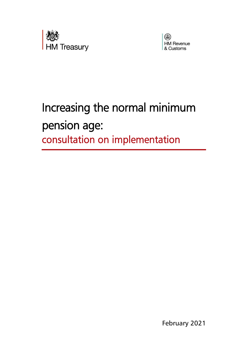



## Increasing the normal minimum pension age: consultation on implementation

February 2021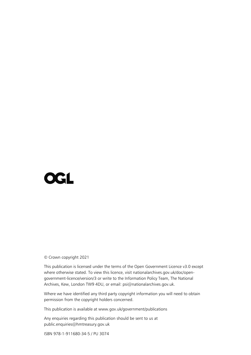# **OGL**

© Crown copyright 2021

This publication is licensed under the terms of the Open Government Licence v3.0 except where otherwise stated. To view this licence, visit nationalarchives.gov.uk/doc/opengovernment-licence/version/3 or write to the Information Policy Team, The National Archives, Kew, London TW9 4DU, or email: psi@nationalarchives.gov.uk.

Where we have identified any third party copyright information you will need to obtain permission from the copyright holders concerned.

This publication is available at www.gov.uk/government/publications

Any enquiries regarding this publication should be sent to us at public.enquiries@hmtreasury.gov.uk

ISBN 978-1-911680-34-5 / PU 3074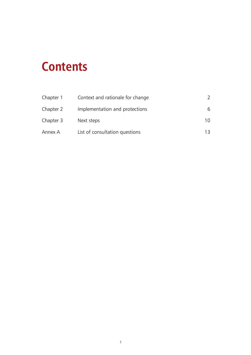## **Contents**

| Chapter 1 | Context and rationale for change |    |
|-----------|----------------------------------|----|
| Chapter 2 | Implementation and protections   | 6  |
| Chapter 3 | Next steps                       | 10 |
| Annex A   | List of consultation questions   | 13 |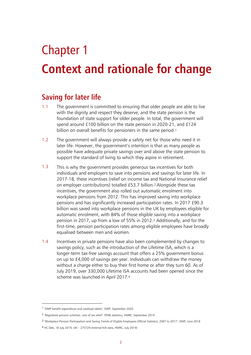## Chapter 1

## **Context and rationale for change**

## **Saving for later life**

- 1.1 The government is committed to ensuring that older people are able to live with the dignity and respect they deserve, and the state pension is the foundation of state support for older people. In total, the government will spend around £100 billion on the state pension in 2020-21, and £124 billion on overall benefits for pensioners in the same period. 1
- 1.2 The government will always provide a safety net for those who need it in later life. However, the government's intention is that as many people as possible have adequate private savings over and above the state pension to support the standard of living to which they aspire in retirement.
- 1.3 This is why the government provides generous tax incentives for both individuals and employers to save into pensions and savings for later life. In 2017-18, these incentives (relief on income tax and National Insurance relief on employer contributions) totalled £53.7 billion.<sup>2</sup> Alongside these tax incentives, the government also rolled out automatic enrolment into workplace pensions from 2012. This has improved saving into workplace pensions and has significantly increased participation rates. In 2017 £90.3 billion was saved into workplace pensions in the UK by employees eligible for automatic enrolment, with 84% of those eligible saving into a workplace pension in 2017, up from a low of 55% in 2012.<sup>3</sup> Additionally, and for the first-time, pension participation rates among eligible employees have broadly equalised between men and women.
- 1.4 Incentives in private pensions have also been complemented by changes to savings policy, such as the introduction of the Lifetime ISA, which is a longer-term tax-free savings account that offers a 25% government bonus on up to £4,000 of savings per year. Individuals can withdraw the money without a charge either to buy their first home or after they turn 60. As of July 2019, over 330,000 Lifetime ISA accounts had been opened since the scheme was launched in April 2017. 4

<sup>1</sup> 'DWP benefit expenditure and caseload tables', DWP, September 2020

<sup>2</sup> 'Registered pension schemes: cost of tax relief': PEN6 statistics, HMRC, September 2019

<sup>3</sup> 'Workplace Pension Participation and Saving Trends of Eligible Employees Official Statistics: 2007 to 2017', DWP, June 2018

<sup>4</sup> HC Deb, 18 July 2019, cW – 275729 (Internal KAI data, HMRC, July 2019)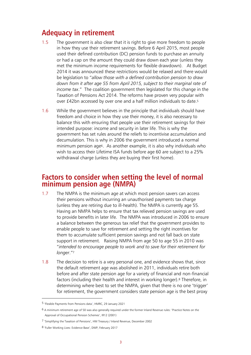## **Adequacy in retirement**

- 1.5 The government is also clear that it is right to give more freedom to people in how they use their retirement savings. Before 6 April 2015, most people used their defined contribution (DC) pension funds to purchase an annuity or had a cap on the amount they could draw down each year (unless they met the minimum income requirements for flexible drawdown). At Budget 2014 it was announced these restrictions would be relaxed and there would be legislation to "*allow those with a defined contribution pension to draw down from it after age 55 from April 2015, subject to their marginal rate of income tax*." The coalition government then legislated for this change in the Taxation of Pensions Act 2014. The reforms have proven very popular with over £42bn accessed by over one and a half million individuals to date.<sup>5</sup>
- 1.6 While the government believes in the principle that individuals should have freedom and choice in how they use their money, it is also necessary to balance this with ensuring that people use their retirement savings for their intended purpose: income and security in later life. This is why the government has set rules around the reliefs to incentivise accumulation and decumulation. This is why in 2006 the government introduced a normal minimum pension age6. As another example, it is also why individuals who wish to access their Lifetime ISA funds before age 60 are subject to a 25% withdrawal charge (unless they are buying their first home).

## **Factors to consider when setting the level of normal minimum pension age (NMPA)**

- 1.7 The NMPA is the minimum age at which most pension savers can access their pensions without incurring an unauthorised payments tax charge (unless they are retiring due to ill-health). The NMPA is currently age 55. Having an NMPA helps to ensure that tax relieved pension savings are used to provide benefits in later life. The NMPA was introduced in 2006 to ensure a balance between the generous tax relief that the government provides to enable people to save for retirement and setting the right incentives for them to accumulate sufficient pension savings and not fall back on state support in retirement. Raising NMPA from age 50 to age 55 in 2010 was "*intended to encourage people to work and to save for their retirement for longer*."<sup>7</sup>
- 1.8 The decision to retire is a very personal one, and evidence shows that, since the default retirement age was abolished in 2011, individuals retire both before and after state pension age for a variety of financial and non-financial factors (including their health and interest in working longer).<sup>8</sup> Therefore, in determining where best to set the NMPA, given that there is no one 'trigger' for retirement, the government considers state pension age is the best proxy

<sup>5</sup> 'Flexible Payments from Pensions data', HMRC, 29 January 2021

 $6$  A minimum retirement age of 50 was also generally required under the former Inland Revenue rules: 'Practice Notes on the Approval of Occupational Pension Schemes', IR12 (2001)

<sup>7</sup> 'Simplifying the Taxation of Pensions', HM Treasury / Inland Revenue, December 2002

<sup>8</sup> 'Fuller Working Lives: Evidence Base', DWP, February 2017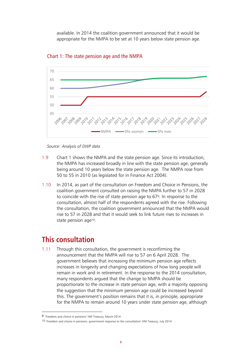available. In 2014 the coalition government announced that it would be appropriate for the NMPA to be set at 10 years below state pension age.





- 1.9 Chart 1 shows the NMPA and the state pension age. Since its introduction, the NMPA has increased broadly in line with the state pension age, generally being around 10 years below the state pension age. The NMPA rose from 50 to 55 in 2010 (as legislated for in Finance Act 2004).
- 1.10 In 2014, as part of the consultation on Freedom and Choice in Pensions, the coalition government consulted on raising the NMPA further to 57 in 2028 to coincide with the rise of state pension age to 679. In response to the consultation, almost half of the respondents agreed with the rise. Following the consultation, the coalition government announced that the NMPA would rise to 57 in 2028 and that it would seek to link future rises to increases in state pension age10.

## **This consultation**

1.11 Through this consultation, the government is reconfirming the announcement that the NMPA will rise to 57 on 6 April 2028. The government believes that increasing the minimum pension age reflects increases in longevity and changing expectations of how long people will remain in work and in retirement. In the response to the 2014 consultation, many respondents argued that the change to NMPA should be proportionate to the increase in state pension age, with a majority opposing the suggestion that the minimum pension age could be increased beyond this. The government's position remains that it is, in principle, appropriate for the NMPA to remain around 10 years under state pension age, although

*Source: Analysis of DWP data* 

<sup>9</sup> 'Freedom and choice in pensions' HM Treasury, March 2014

<sup>10</sup> 'Freedom and choice in pensions: government response to the consultation' HM Treasury, July 2014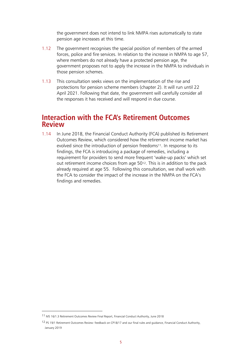the government does not intend to link NMPA rises automatically to state pension age increases at this time.

- 1.12 The government recognises the special position of members of the armed forces, police and fire services. In relation to the increase in NMPA to age 57, where members do not already have a protected pension age, the government proposes not to apply the increase in the NMPA to individuals in those pension schemes.
- 1.13 This consultation seeks views on the implementation of the rise and protections for pension scheme members (chapter 2). It will run until 22 April 2021. Following that date, the government will carefully consider all the responses it has received and will respond in due course.

## **Interaction with the FCA's Retirement Outcomes Review**

1.14 In June 2018, the Financial Conduct Authority (FCA) published its Retirement Outcomes Review, which considered how the retirement income market has evolved since the introduction of pension freedoms<sup>11</sup>. In response to its findings, the FCA is introducing a package of remedies, including a requirement for providers to send more frequent 'wake-up packs' which set out retirement income choices from age 5012. This is in addition to the pack already required at age 55. Following this consultation, we shall work with the FCA to consider the impact of the increase in the NMPA on the FCA's findings and remedies.

<sup>11</sup> MS 16/1.3 Retirement Outcomes Review Final Report, Financial Conduct Authority, June 2018

<sup>12</sup> PS 19/1 Retirement Outcomes Review: feedback on CP18/17 and our final rules and guidance, Financial Conduct Authority, January 2019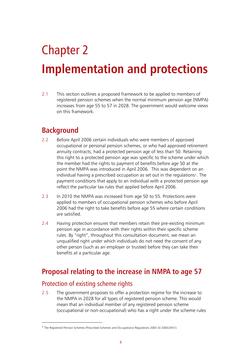# Chapter 2 **Implementation and protections**

2.1 This section outlines a proposed framework to be applied to members of registered pension schemes when the normal minimum pension age (NMPA) increases from age 55 to 57 in 2028. The government would welcome views on this framework.

## **Background**

- 2.2 Before April 2006 certain individuals who were members of approved occupational or personal pension schemes, or who had approved retirement annuity contracts, had a protected pension age of less than 50. Retaining this right to a protected pension age was specific to the scheme under which the member had the rights to payment of benefits before age 50 at the point the NMPA was introduced in April 2006. This was dependent on an individual having a prescribed occupation as set out in the regulations<sup>1</sup>. The payment conditions that apply to an individual with a protected pension age reflect the particular tax rules that applied before April 2006.
- 2.3 In 2010 the NMPA was increased from age 50 to 55. Protections were applied to members of occupational pension schemes who before April 2006 had the right to take benefits before age 55 where certain conditions are satisfied.
- 2.4 Having protection ensures that members retain their pre-existing minimum pension age in accordance with their rights within their specific scheme rules. By "right", throughout this consultation document, we mean an unqualified right under which individuals do not need the consent of any other person (such as an employer or trustee) before they can take their benefits at a particular age.

## **Proposal relating to the increase in NMPA to age 57**

## Protection of existing scheme rights

2.5 The government proposes to offer a protection regime for the increase to the NMPA in 2028 for all types of registered pension scheme. This would mean that an individual member of any registered pension scheme (occupational or non-occupational) who has a right under the scheme rules

<sup>1</sup> The Registered Pension Schemes (Prescribed Schemes and Occupations) Regulations 2005 (SI 2005/3451).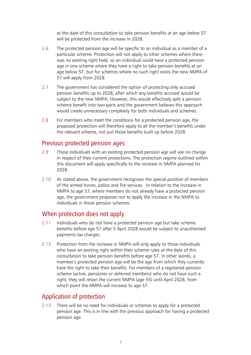at the date of this consultation to take pension benefits at an age below 57 will be protected from the increase in 2028.

- 2.6 The protected pension age will be specific to an individual as a member of a particular scheme. Protection will not apply to other schemes where there was no existing right held, so an individual could have a protected pension age in one scheme where they have a right to take pension benefits at an age below 57, but for schemes where no such right exists the new NMPA of 57 will apply from 2028.
- 2.7 The government has considered the option of protecting only accrued pension benefits up to 2028, after which any benefits accrued would be subject to the new NMPA. However, this would effectively split a pension scheme benefit into two parts and the government believes this approach would create unnecessary complexity for both individuals and schemes.
- 2.8 For members who meet the conditions for a protected pension age, the proposed protection will therefore apply to all the member's benefits under the relevant scheme, not just those benefits built up before 2028.

### Previous protected pension ages

- 2.9 Those individuals with an existing protected pension age will see no change in respect of their current protections. The protection regime outlined within this document will apply specifically to the increase in NMPA planned for 2028.
- 2.10 As stated above, the government recognises the special position of members of the armed forces, police and fire services. In relation to the increase in NMPA to age 57, where members do not already have a protected pension age, the government proposes not to apply the increase in the NMPA to individuals in those pension schemes.

### When protection does not apply

- 2.11 Individuals who do not have a protected pension age but take scheme benefits before age 57 after 5 April 2028 would be subject to unauthorised payments tax charges.
- 2.12 Protection from the increase in NMPA will only apply to those individuals who have an existing right within their scheme rules at the date of this consultation to take pension benefits before age 57. In other words, a member's protected pension age will be the age from which they currently have the right to take their benefits. For members of a registered pension scheme (active, pensioner or deferred members) who do not have such a right, they will retain the current NMPA (age 55) until April 2028, from which point the NMPA will increase to age 57.

## Application of protection

2.13 There will be no need for individuals or schemes to apply for a protected pension age. This is in line with the previous approach for having a protected pension age.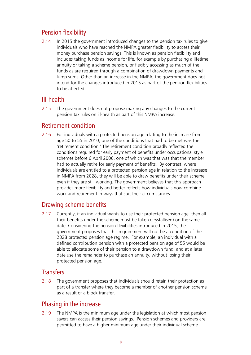## Pension flexibility

2.14 In 2015 the government introduced changes to the pension tax rules to give individuals who have reached the NMPA greater flexibility to access their money purchase pension savings. This is known as pension flexibility and includes taking funds as income for life, for example by purchasing a lifetime annuity or taking a scheme pension, or flexibly accessing as much of the funds as are required through a combination of drawdown payments and lump sums. Other than an increase in the NMPA, the government does not intend for the changes introduced in 2015 as part of the pension flexibilities to be affected.

## Ill-health

2.15 The government does not propose making any changes to the current pension tax rules on ill-health as part of this NMPA increase.

## Retirement condition

2.16 For individuals with a protected pension age relating to the increase from age 50 to 55 in 2010, one of the conditions that had to be met was the 'retirement condition.' The retirement condition broadly reflected the conditions required for early payment of benefits under occupational style schemes before 6 April 2006, one of which was that was that the member had to actually retire for early payment of benefits. By contrast, where individuals are entitled to a protected pension age in relation to the increase in NMPA from 2028, they will be able to draw benefits under their scheme even if they are still working. The government believes that this approach provides more flexibility and better reflects how individuals now combine work and retirement in ways that suit their circumstances.

## Drawing scheme benefits

2.17 Currently, if an individual wants to use their protected pension age, then all their benefits under the scheme must be taken (crystallised) on the same date. Considering the pension flexibilities introduced in 2015, the government proposes that this requirement will not be a condition of the 2028 protected pension age regime. For example, an individual with a defined contribution pension with a protected pension age of 55 would be able to allocate some of their pension to a drawdown fund, and at a later date use the remainder to purchase an annuity, without losing their protected pension age.

## **Transfers**

2.18 The government proposes that individuals should retain their protection as part of a transfer where they become a member of another pension scheme as a result of a block transfer.

## Phasing in the increase

2.19 The NMPA is the minimum age under the legislation at which most pension savers can access their pension savings. Pension schemes and providers are permitted to have a higher minimum age under their individual scheme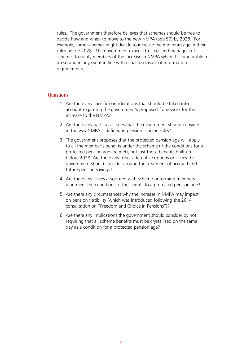rules. The government therefore believes that schemes should be free to decide how and when to move to the new NMPA (age 57) by 2028. For example, some schemes might decide to increase the minimum age in their rules before 2028. The government expects trustees and managers of schemes to notify members of the increase in NMPA when it is practicable to do so and in any event in line with usual disclosure of information requirements.

#### **Ouestions**

- 1 Are there any specific considerations that should be taken into account regarding the government's proposed framework for the increase to the NMPA?
- 2 Are there any particular issues that the government should consider in the way NMPA is defined in pension scheme rules?
- 3 The government proposes that the protected pension age will apply to all the member's benefits under the scheme (if the conditions for a protected pension age are met), not just those benefits built up before 2028. Are there any other alternative options or issues the government should consider around the treatment of accrued and future pension savings?
- 4 Are there any issues associated with schemes informing members who meet the conditions of their rights to a protected pension age?
- 5 Are there any circumstances why the increase in NMPA may impact on pension flexibility (which was introduced following the 2014 consultation on "Freedom and Choice in Pensions")?
- 6 Are there any implications the government should consider by not requiring that all scheme benefits must be crystallised on the same day as a condition for a protected pension age?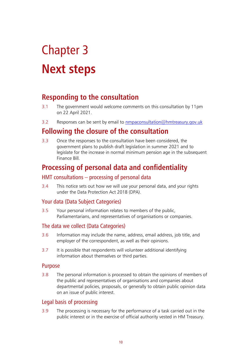# Chapter 3 **Next steps**

## **Responding to the consultation**

- 3.1 The government would welcome comments on this consultation by 11pm on 22 April 2021.
- 3.2 Responses can be sent by email to [nmpaconsultation@hmtreasury.gov.uk](mailto:nmpaconsultation@hmtreasury.gov.uk)

## **Following the closure of the consultation**

3.3 Once the responses to the consultation have been considered, the government plans to publish draft legislation in summer 2021 and to legislate for the increase in normal minimum pension age in the subsequent Finance Bill.

## **Processing of personal data and confidentiality**

#### HMT consultations – processing of personal data

3.4 This notice sets out how we will use your personal data, and your rights under the Data Protection Act 2018 (DPA).

### Your data (Data Subject Categories)

3.5 Your personal information relates to members of the public, Parliamentarians, and representatives of organisations or companies.

#### The data we collect (Data Categories)

- 3.6 Information may include the name, address, email address, job title, and employer of the correspondent, as well as their opinions.
- 3.7 It is possible that respondents will volunteer additional identifying information about themselves or third parties.

#### Purpose

3.8 The personal information is processed to obtain the opinions of members of the public and representatives of organisations and companies about departmental policies, proposals, or generally to obtain public opinion data on an issue of public interest.

## Legal basis of processing

3.9 The processing is necessary for the performance of a task carried out in the public interest or in the exercise of official authority vested in HM Treasury.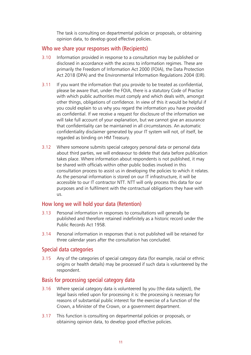The task is consulting on departmental policies or proposals, or obtaining opinion data, to develop good effective policies.

#### Who we share your responses with (Recipients)

- 3.10 Information provided in response to a consultation may be published or disclosed in accordance with the access to information regimes. These are primarily the Freedom of Information Act 2000 (FOIA), the Data Protection Act 2018 (DPA) and the Environmental Information Regulations 2004 (EIR).
- 3.11 If you want the information that you provide to be treated as confidential, please be aware that, under the FOIA, there is a statutory Code of Practice with which public authorities must comply and which deals with, amongst other things, obligations of confidence. In view of this it would be helpful if you could explain to us why you regard the information you have provided as confidential. If we receive a request for disclosure of the information we will take full account of your explanation, but we cannot give an assurance that confidentiality can be maintained in all circumstances. An automatic confidentiality disclaimer generated by your IT system will not, of itself, be regarded as binding on HM Treasury.
- 3.12 Where someone submits special category personal data or personal data about third parties, we will endeavour to delete that data before publication takes place. Where information about respondents is not published, it may be shared with officials within other public bodies involved in this consultation process to assist us in developing the policies to which it relates. As the personal information is stored on our IT infrastructure, it will be accessible to our IT contractor NTT. NTT will only process this data for our purposes and in fulfilment with the contractual obligations they have with us.

#### How long we will hold your data (Retention)

- 3.13 Personal information in responses to consultations will generally be published and therefore retained indefinitely as a historic record under the Public Records Act 1958.
- 3.14 Personal information in responses that is not published will be retained for three calendar years after the consultation has concluded.

#### Special data categories

3.15 Any of the categories of special category data (for example, racial or ethnic origins or health details) may be processed if such data is volunteered by the respondent.

#### Basis for processing special category data

- 3.16 Where special category data is volunteered by you (the data subject), the legal basis relied upon for processing it is: the processing is necessary for reasons of substantial public interest for the exercise of a function of the Crown, a Minister of the Crown, or a government department.
- 3.17 This function is consulting on departmental policies or proposals, or obtaining opinion data, to develop good effective policies.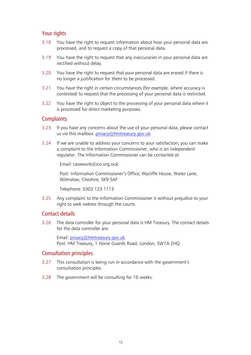#### Your rights

- 3.18 You have the right to request information about how your personal data are processed, and to request a copy of that personal data.
- 3.19 You have the right to request that any inaccuracies in your personal data are rectified without delay.
- 3.20 You have the right to request that your personal data are erased if there is no longer a justification for them to be processed.
- 3.21 You have the right in certain circumstances (for example, where accuracy is contested) to request that the processing of your personal data is restricted.
- 3.22 You have the right to object to the processing of your personal data where it is processed for direct marketing purposes.

#### **Complaints**

- 3.23 If you have any concerns about the use of your personal data, please contact us via this mailbox: [privacy@hmtreasury.gov.uk](mailto:privacy@hmtreasury.gov.uk)
- 3.24 If we are unable to address your concerns to your satisfaction, you can make a complaint to the Information Commissioner, who is an independent regulator. The Information Commissioner can be contacted at:

Email: casework@ico.org.ouk

Post: Information Commissioner's Office; Wycliffe House, Water Lane, Wilmslow, Cheshire, SK9 5AF

Telephone: 0303 123 1113

3.25 Any complaint to the Information Commissioner is without prejudice to your right to seek redress through the courts.

#### Contact details

3.26 The data controller for your personal data is HM Treasury. The contact details for the data controller are:

Email: [privacy@hmtreasury.gov.uk](mailto:privacy@hmtreasury.gov.uk) Post: HM Treasury, 1 Horse Guards Road, London, SW1A 2HQ

#### Consultation principles

- 3.27 This consultation is being run in accordance with the government's consultation principles.
- 3.28 The government will be consulting for 10 weeks.